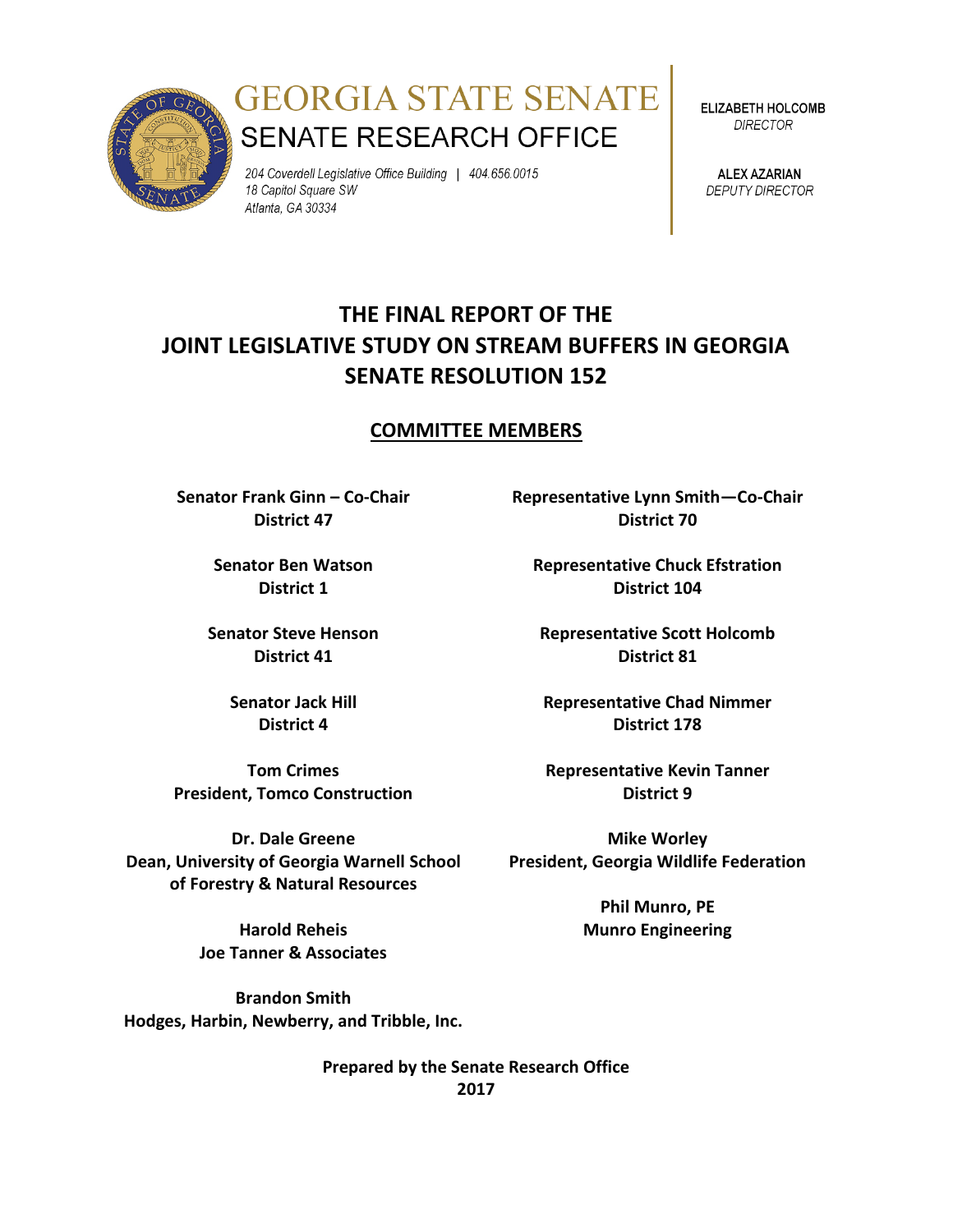

# **GEORGIA STATE SENATE SENATE RESEARCH OFFICE**

204 Coverdell Legislative Office Building | 404.656.0015 18 Capitol Square SW Atlanta, GA 30334

ELIZABETH HOLCOMB **DIRECTOR** 

**ALEX AZARIAN DEPUTY DIRECTOR** 

# **THE FINAL REPORT OF THE JOINT LEGISLATIVE STUDY ON STREAM BUFFERS IN GEORGIA SENATE RESOLUTION 152**

#### **COMMITTEE MEMBERS**

**Senator Frank Ginn – Co-Chair District 47**

> **Senator Ben Watson District 1**

**Senator Steve Henson District 41**

> **Senator Jack Hill District 4**

**Tom Crimes President, Tomco Construction**

**Dr. Dale Greene Dean, University of Georgia Warnell School of Forestry & Natural Resources** 

> **Harold Reheis Joe Tanner & Associates**

**Brandon Smith Hodges, Harbin, Newberry, and Tribble, Inc.** **Representative Lynn Smith—Co-Chair District 70**

**Representative Chuck Efstration District 104**

**Representative Scott Holcomb District 81**

**Representative Chad Nimmer District 178**

**Representative Kevin Tanner District 9**

**Mike Worley President, Georgia Wildlife Federation**

> **Phil Munro, PE Munro Engineering**

**Prepared by the Senate Research Office 2017**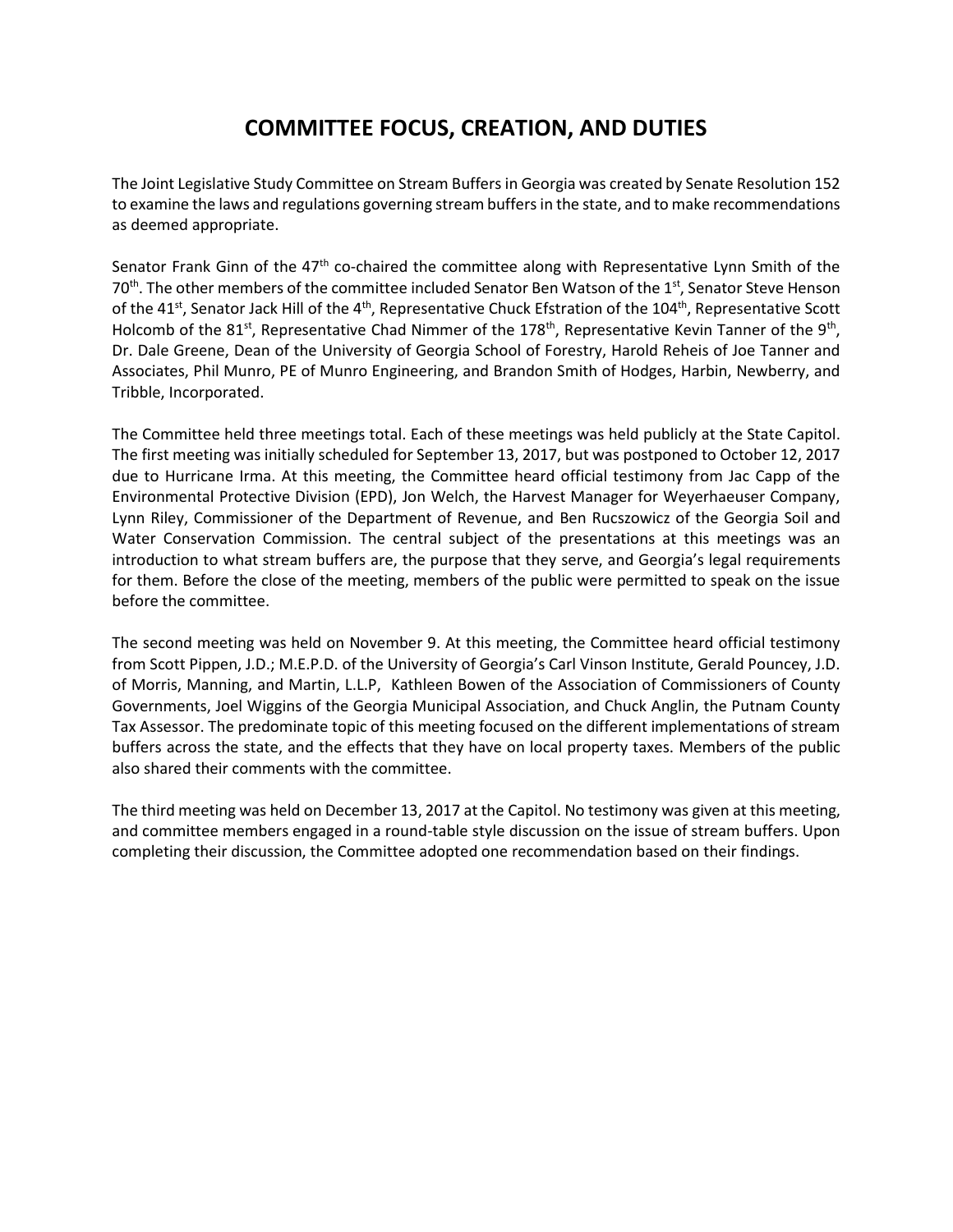# **COMMITTEE FOCUS, CREATION, AND DUTIES**

The Joint Legislative Study Committee on Stream Buffers in Georgia was created by Senate Resolution 152 to examine the laws and regulations governing stream buffers in the state, and to make recommendations as deemed appropriate.

Senator Frank Ginn of the  $47<sup>th</sup>$  co-chaired the committee along with Representative Lynn Smith of the 70<sup>th</sup>. The other members of the committee included Senator Ben Watson of the 1<sup>st</sup>, Senator Steve Henson of the 41<sup>st</sup>, Senator Jack Hill of the 4<sup>th</sup>, Representative Chuck Efstration of the 104<sup>th</sup>, Representative Scott Holcomb of the 81<sup>st</sup>, Representative Chad Nimmer of the 178<sup>th</sup>, Representative Kevin Tanner of the 9<sup>th</sup>, Dr. Dale Greene, Dean of the University of Georgia School of Forestry, Harold Reheis of Joe Tanner and Associates, Phil Munro, PE of Munro Engineering, and Brandon Smith of Hodges, Harbin, Newberry, and Tribble, Incorporated.

The Committee held three meetings total. Each of these meetings was held publicly at the State Capitol. The first meeting was initially scheduled for September 13, 2017, but was postponed to October 12, 2017 due to Hurricane Irma. At this meeting, the Committee heard official testimony from Jac Capp of the Environmental Protective Division (EPD), Jon Welch, the Harvest Manager for Weyerhaeuser Company, Lynn Riley, Commissioner of the Department of Revenue, and Ben Rucszowicz of the Georgia Soil and Water Conservation Commission. The central subject of the presentations at this meetings was an introduction to what stream buffers are, the purpose that they serve, and Georgia's legal requirements for them. Before the close of the meeting, members of the public were permitted to speak on the issue before the committee.

The second meeting was held on November 9. At this meeting, the Committee heard official testimony from Scott Pippen, J.D.; M.E.P.D. of the University of Georgia's Carl Vinson Institute, Gerald Pouncey, J.D. of Morris, Manning, and Martin, L.L.P, Kathleen Bowen of the Association of Commissioners of County Governments, Joel Wiggins of the Georgia Municipal Association, and Chuck Anglin, the Putnam County Tax Assessor. The predominate topic of this meeting focused on the different implementations of stream buffers across the state, and the effects that they have on local property taxes. Members of the public also shared their comments with the committee.

The third meeting was held on December 13, 2017 at the Capitol. No testimony was given at this meeting, and committee members engaged in a round-table style discussion on the issue of stream buffers. Upon completing their discussion, the Committee adopted one recommendation based on their findings.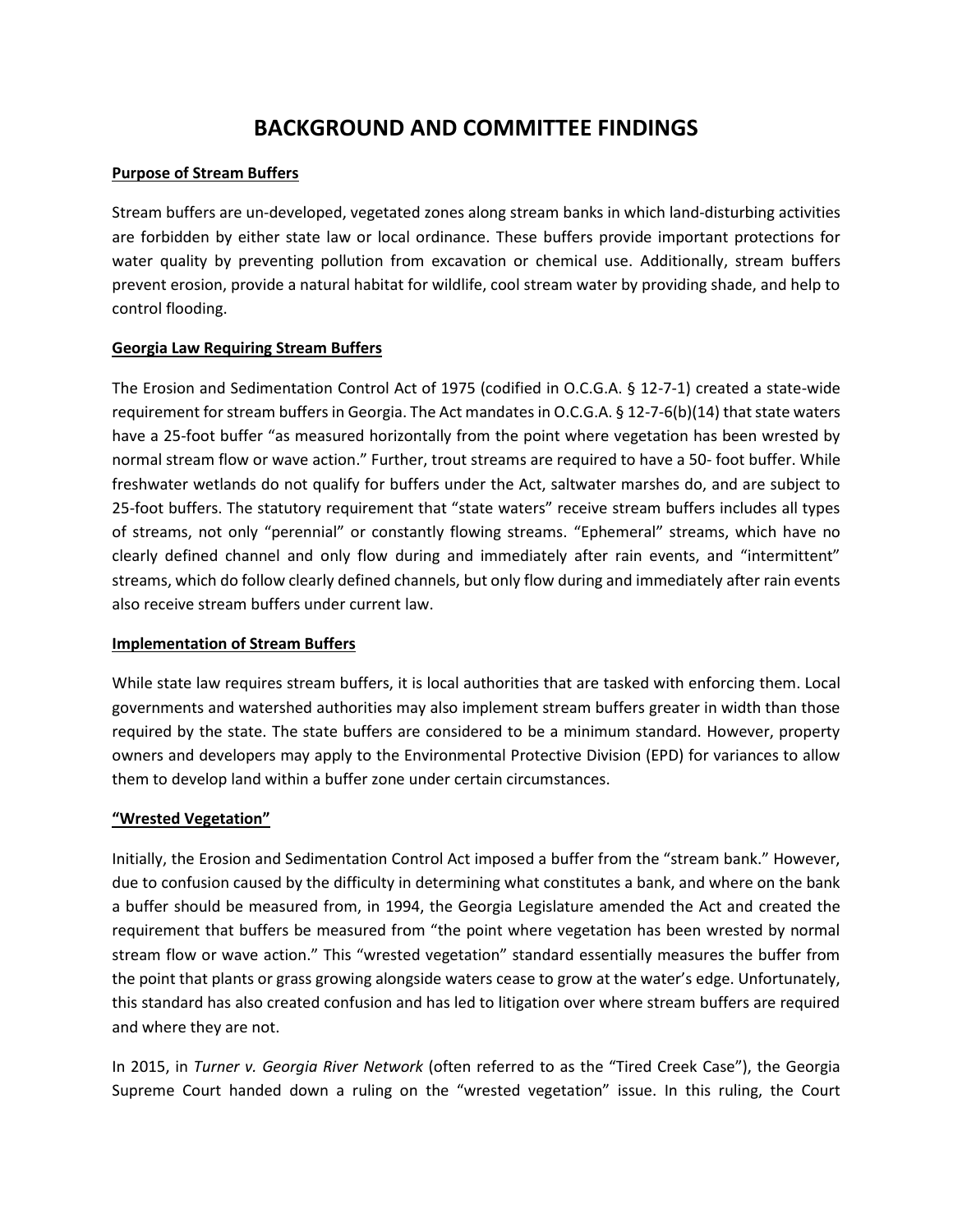## **BACKGROUND AND COMMITTEE FINDINGS**

#### **Purpose of Stream Buffers**

Stream buffers are un-developed, vegetated zones along stream banks in which land-disturbing activities are forbidden by either state law or local ordinance. These buffers provide important protections for water quality by preventing pollution from excavation or chemical use. Additionally, stream buffers prevent erosion, provide a natural habitat for wildlife, cool stream water by providing shade, and help to control flooding.

#### **Georgia Law Requiring Stream Buffers**

The Erosion and Sedimentation Control Act of 1975 (codified in O.C.G.A. § 12-7-1) created a state-wide requirement for stream buffers in Georgia. The Act mandates in O.C.G.A. § 12-7-6(b)(14) that state waters have a 25-foot buffer "as measured horizontally from the point where vegetation has been wrested by normal stream flow or wave action." Further, trout streams are required to have a 50- foot buffer. While freshwater wetlands do not qualify for buffers under the Act, saltwater marshes do, and are subject to 25-foot buffers. The statutory requirement that "state waters" receive stream buffers includes all types of streams, not only "perennial" or constantly flowing streams. "Ephemeral" streams, which have no clearly defined channel and only flow during and immediately after rain events, and "intermittent" streams, which do follow clearly defined channels, but only flow during and immediately after rain events also receive stream buffers under current law.

#### **Implementation of Stream Buffers**

While state law requires stream buffers, it is local authorities that are tasked with enforcing them. Local governments and watershed authorities may also implement stream buffers greater in width than those required by the state. The state buffers are considered to be a minimum standard. However, property owners and developers may apply to the Environmental Protective Division (EPD) for variances to allow them to develop land within a buffer zone under certain circumstances.

#### **"Wrested Vegetation"**

Initially, the Erosion and Sedimentation Control Act imposed a buffer from the "stream bank." However, due to confusion caused by the difficulty in determining what constitutes a bank, and where on the bank a buffer should be measured from, in 1994, the Georgia Legislature amended the Act and created the requirement that buffers be measured from "the point where vegetation has been wrested by normal stream flow or wave action." This "wrested vegetation" standard essentially measures the buffer from the point that plants or grass growing alongside waters cease to grow at the water's edge. Unfortunately, this standard has also created confusion and has led to litigation over where stream buffers are required and where they are not.

In 2015, in *Turner v. Georgia River Network* (often referred to as the "Tired Creek Case"), the Georgia Supreme Court handed down a ruling on the "wrested vegetation" issue. In this ruling, the Court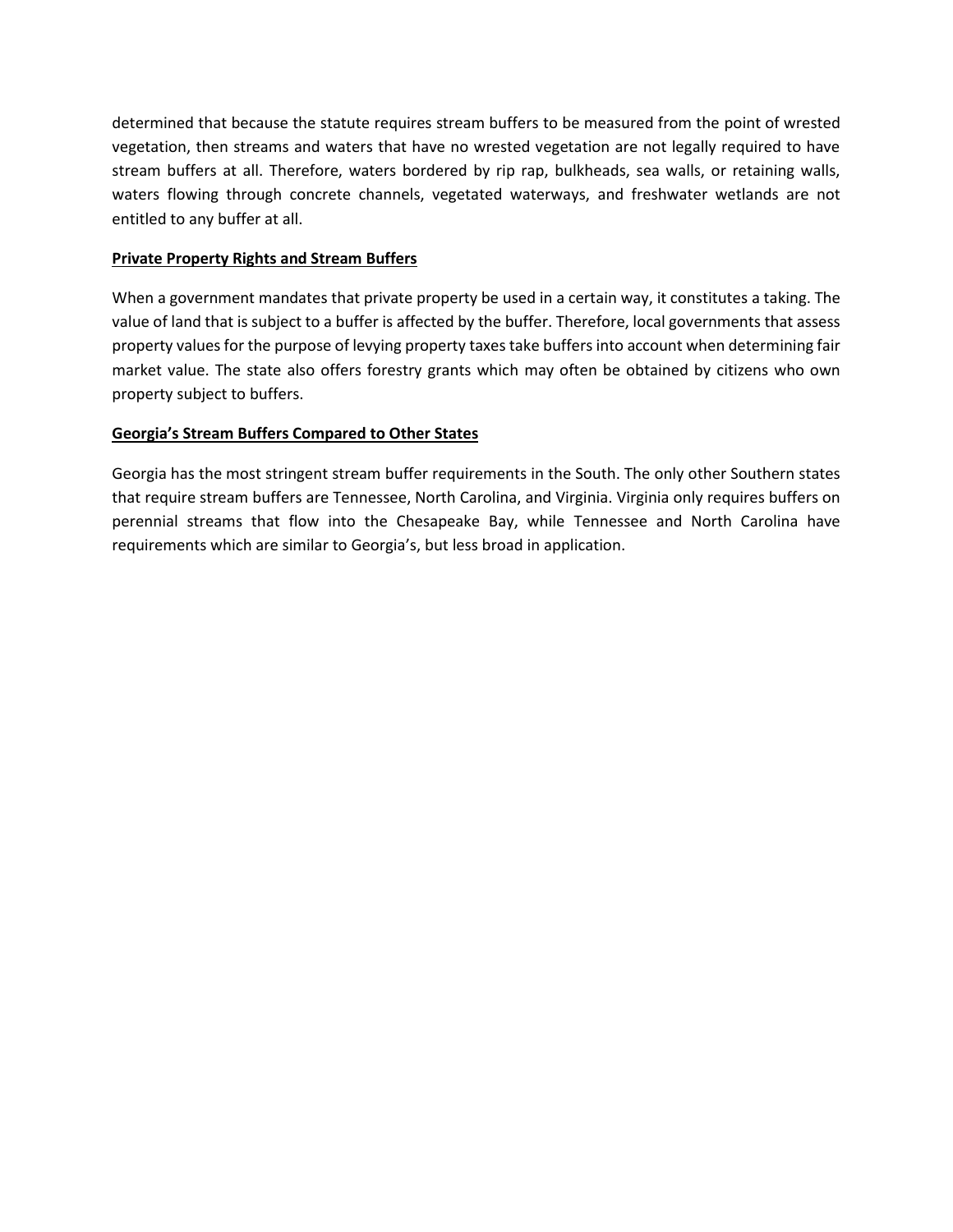determined that because the statute requires stream buffers to be measured from the point of wrested vegetation, then streams and waters that have no wrested vegetation are not legally required to have stream buffers at all. Therefore, waters bordered by rip rap, bulkheads, sea walls, or retaining walls, waters flowing through concrete channels, vegetated waterways, and freshwater wetlands are not entitled to any buffer at all.

#### **Private Property Rights and Stream Buffers**

When a government mandates that private property be used in a certain way, it constitutes a taking. The value of land that is subject to a buffer is affected by the buffer. Therefore, local governments that assess property values for the purpose of levying property taxes take buffers into account when determining fair market value. The state also offers forestry grants which may often be obtained by citizens who own property subject to buffers.

#### **Georgia's Stream Buffers Compared to Other States**

Georgia has the most stringent stream buffer requirements in the South. The only other Southern states that require stream buffers are Tennessee, North Carolina, and Virginia. Virginia only requires buffers on perennial streams that flow into the Chesapeake Bay, while Tennessee and North Carolina have requirements which are similar to Georgia's, but less broad in application.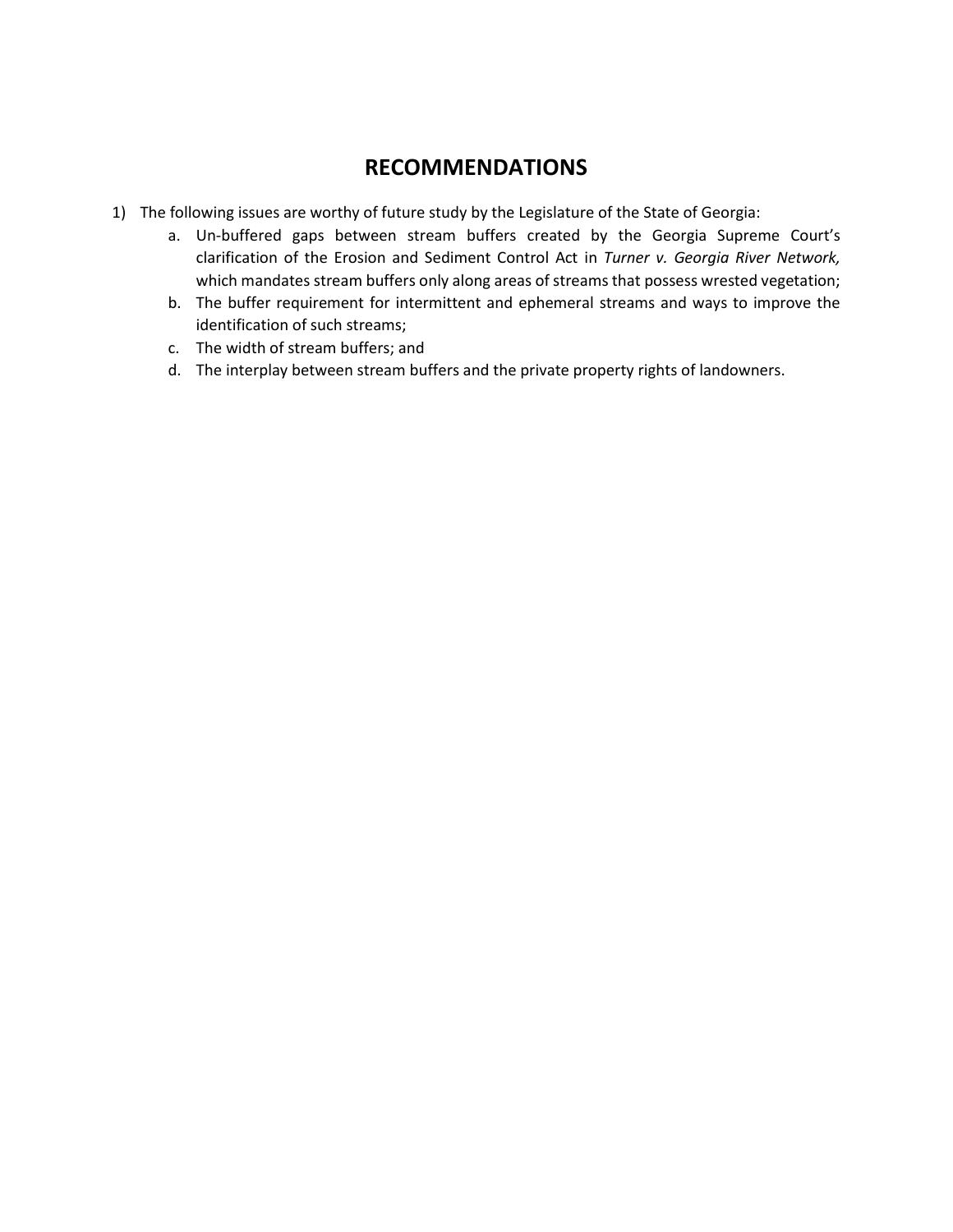### **RECOMMENDATIONS**

- 1) The following issues are worthy of future study by the Legislature of the State of Georgia:
	- a. Un-buffered gaps between stream buffers created by the Georgia Supreme Court's clarification of the Erosion and Sediment Control Act in *Turner v. Georgia River Network,*  which mandates stream buffers only along areas of streams that possess wrested vegetation;
	- b. The buffer requirement for intermittent and ephemeral streams and ways to improve the identification of such streams;
	- c. The width of stream buffers; and
	- d. The interplay between stream buffers and the private property rights of landowners.